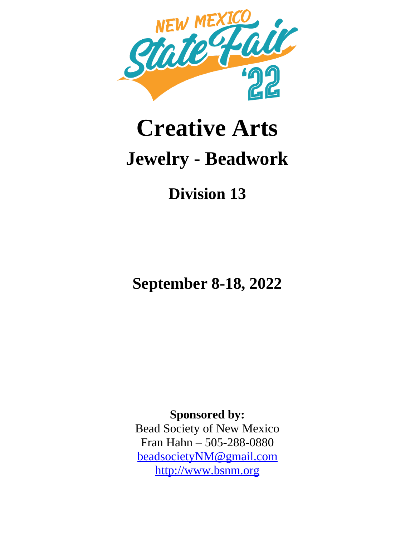

# **Creative Arts Jewelry - Beadwork**

## **Division 13**

**September 8-18, 2022**

**Sponsored by:** Bead Society of New Mexico Fran Hahn – 505-288-0880 beadsocietyNM@gmail.com http://www.bsnm.org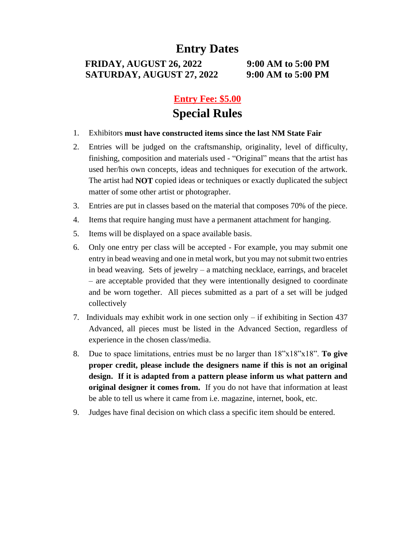#### **Entry Dates**

**FRIDAY, AUGUST 26, 2022 9:00 AM to 5:00 PM SATURDAY, AUGUST 27, 2022 9:00 AM to 5:00 PM**

#### **Entry Fee: \$5.00 Special Rules**

- 1. Exhibitors **must have constructed items since the last NM State Fair**
- 2. Entries will be judged on the craftsmanship, originality, level of difficulty, finishing, composition and materials used - "Original" means that the artist has used her/his own concepts, ideas and techniques for execution of the artwork. The artist had **NOT** copied ideas or techniques or exactly duplicated the subject matter of some other artist or photographer.
- 3. Entries are put in classes based on the material that composes 70% of the piece.
- 4. Items that require hanging must have a permanent attachment for hanging.
- 5. Items will be displayed on a space available basis.
- 6. Only one entry per class will be accepted For example, you may submit one entry in bead weaving and one in metal work, but you may not submit two entries in bead weaving. Sets of jewelry – a matching necklace, earrings, and bracelet – are acceptable provided that they were intentionally designed to coordinate and be worn together. All pieces submitted as a part of a set will be judged collectively
- 7. Individuals may exhibit work in one section only if exhibiting in Section 437 Advanced, all pieces must be listed in the Advanced Section, regardless of experience in the chosen class/media.
- 8. Due to space limitations, entries must be no larger than 18"x18"x18". **To give proper credit, please include the designers name if this is not an original design. If it is adapted from a pattern please inform us what pattern and original designer it comes from.** If you do not have that information at least be able to tell us where it came from i.e. magazine, internet, book, etc.
- 9. Judges have final decision on which class a specific item should be entered.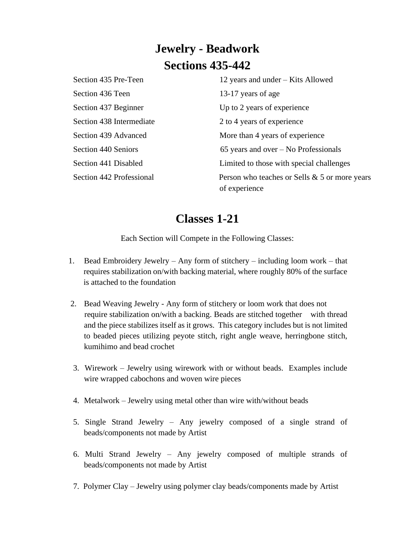### **Jewelry - Beadwork Sections 435-442**

Section 435 Pre-Teen 12 years and under – Kits Allowed Section 436 Teen 13-17 years of age Section 437 Beginner Up to 2 years of experience Section 438 Intermediate 2 to 4 years of experience Section 439 Advanced More than 4 years of experience Section 440 Seniors 65 years and over – No Professionals Section 441 Disabled Limited to those with special challenges Section 442 Professional Person who teaches or Sells & 5 or more years of experience

#### **Classes 1-21**

Each Section will Compete in the Following Classes:

- 1. Bead Embroidery Jewelry Any form of stitchery including loom work that requires stabilization on/with backing material, where roughly 80% of the surface is attached to the foundation
- 2. Bead Weaving Jewelry Any form of stitchery or loom work that does not require stabilization on/with a backing. Beads are stitched together with thread and the piece stabilizes itself as it grows. This category includes but is not limited to beaded pieces utilizing peyote stitch, right angle weave, herringbone stitch, kumihimo and bead crochet
- 3. Wirework Jewelry using wirework with or without beads. Examples include wire wrapped cabochons and woven wire pieces
- 4. Metalwork Jewelry using metal other than wire with/without beads
- 5. Single Strand Jewelry Any jewelry composed of a single strand of beads/components not made by Artist
- 6. Multi Strand Jewelry Any jewelry composed of multiple strands of beads/components not made by Artist
- 7. Polymer Clay Jewelry using polymer clay beads/components made by Artist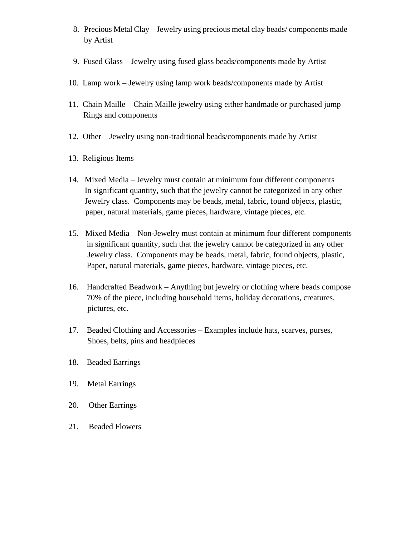- 8. Precious Metal Clay Jewelry using precious metal clay beads/ components made by Artist
- 9. Fused Glass Jewelry using fused glass beads/components made by Artist
- 10. Lamp work Jewelry using lamp work beads/components made by Artist
- 11. Chain Maille Chain Maille jewelry using either handmade or purchased jump Rings and components
- 12. Other Jewelry using non-traditional beads/components made by Artist
- 13. Religious Items
- 14. Mixed Media Jewelry must contain at minimum four different components In significant quantity, such that the jewelry cannot be categorized in any other Jewelry class. Components may be beads, metal, fabric, found objects, plastic, paper, natural materials, game pieces, hardware, vintage pieces, etc.
- 15. Mixed Media Non-Jewelry must contain at minimum four different components in significant quantity, such that the jewelry cannot be categorized in any other Jewelry class. Components may be beads, metal, fabric, found objects, plastic, Paper, natural materials, game pieces, hardware, vintage pieces, etc.
- 16. Handcrafted Beadwork Anything but jewelry or clothing where beads compose 70% of the piece, including household items, holiday decorations, creatures, pictures, etc.
- 17. Beaded Clothing and Accessories Examples include hats, scarves, purses, Shoes, belts, pins and headpieces
- 18. Beaded Earrings
- 19. Metal Earrings
- 20. Other Earrings
- 21. Beaded Flowers